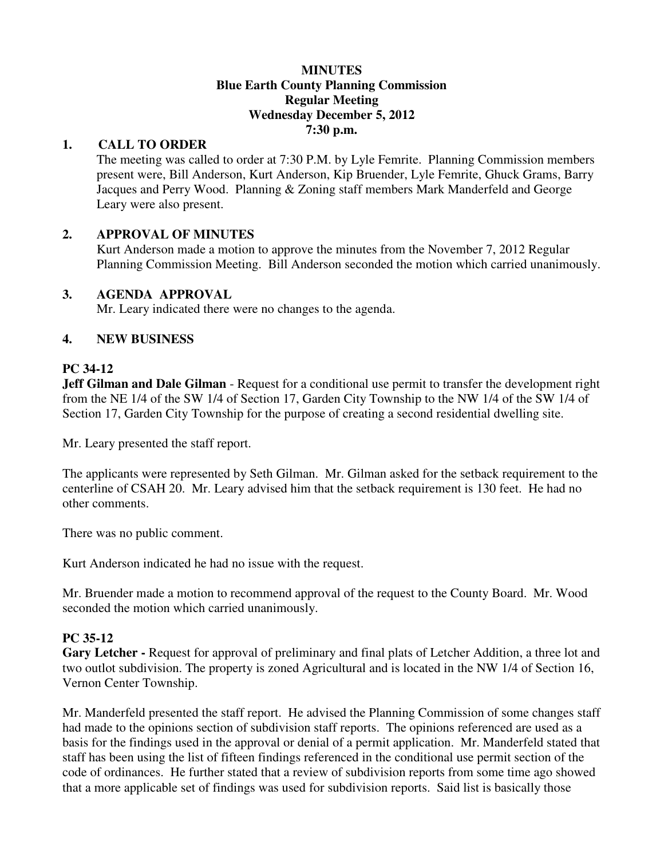#### **MINUTES Blue Earth County Planning Commission Regular Meeting Wednesday December 5, 2012 7:30 p.m.**

### **1. CALL TO ORDER**

The meeting was called to order at 7:30 P.M. by Lyle Femrite. Planning Commission members present were, Bill Anderson, Kurt Anderson, Kip Bruender, Lyle Femrite, Ghuck Grams, Barry Jacques and Perry Wood. Planning & Zoning staff members Mark Manderfeld and George Leary were also present.

### **2. APPROVAL OF MINUTES**

Kurt Anderson made a motion to approve the minutes from the November 7, 2012 Regular Planning Commission Meeting. Bill Anderson seconded the motion which carried unanimously.

### **3. AGENDA APPROVAL**

Mr. Leary indicated there were no changes to the agenda.

### **4. NEW BUSINESS**

### **PC 34-12**

**Jeff Gilman and Dale Gilman** - Request for a conditional use permit to transfer the development right from the NE 1/4 of the SW 1/4 of Section 17, Garden City Township to the NW 1/4 of the SW 1/4 of Section 17, Garden City Township for the purpose of creating a second residential dwelling site.

Mr. Leary presented the staff report.

The applicants were represented by Seth Gilman. Mr. Gilman asked for the setback requirement to the centerline of CSAH 20. Mr. Leary advised him that the setback requirement is 130 feet. He had no other comments.

There was no public comment.

Kurt Anderson indicated he had no issue with the request.

Mr. Bruender made a motion to recommend approval of the request to the County Board. Mr. Wood seconded the motion which carried unanimously.

## **PC 35-12**

**Gary Letcher -** Request for approval of preliminary and final plats of Letcher Addition, a three lot and two outlot subdivision. The property is zoned Agricultural and is located in the NW 1/4 of Section 16, Vernon Center Township.

Mr. Manderfeld presented the staff report. He advised the Planning Commission of some changes staff had made to the opinions section of subdivision staff reports. The opinions referenced are used as a basis for the findings used in the approval or denial of a permit application. Mr. Manderfeld stated that staff has been using the list of fifteen findings referenced in the conditional use permit section of the code of ordinances. He further stated that a review of subdivision reports from some time ago showed that a more applicable set of findings was used for subdivision reports. Said list is basically those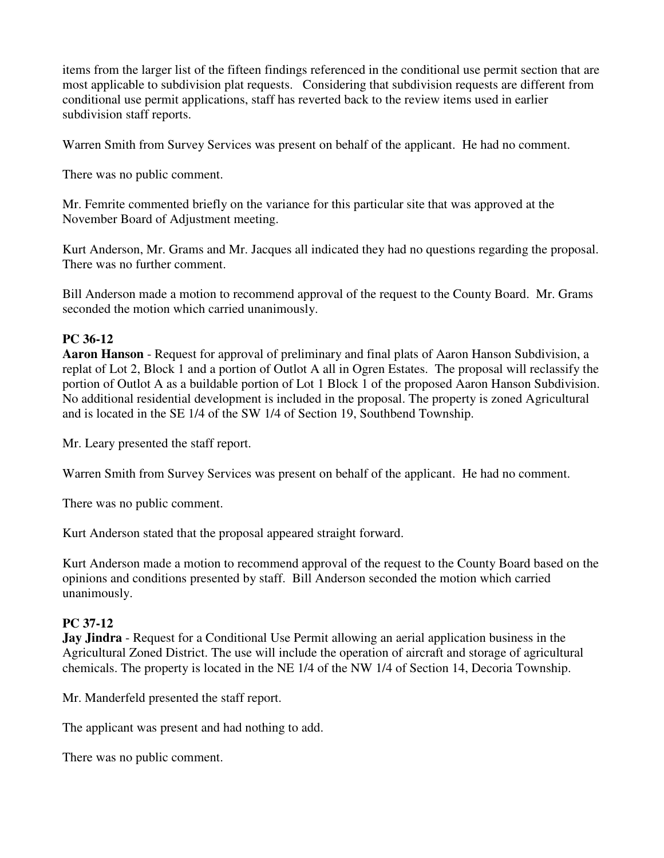items from the larger list of the fifteen findings referenced in the conditional use permit section that are most applicable to subdivision plat requests. Considering that subdivision requests are different from conditional use permit applications, staff has reverted back to the review items used in earlier subdivision staff reports.

Warren Smith from Survey Services was present on behalf of the applicant. He had no comment.

There was no public comment.

Mr. Femrite commented briefly on the variance for this particular site that was approved at the November Board of Adjustment meeting.

Kurt Anderson, Mr. Grams and Mr. Jacques all indicated they had no questions regarding the proposal. There was no further comment.

Bill Anderson made a motion to recommend approval of the request to the County Board. Mr. Grams seconded the motion which carried unanimously.

# **PC 36-12**

**Aaron Hanson** - Request for approval of preliminary and final plats of Aaron Hanson Subdivision, a replat of Lot 2, Block 1 and a portion of Outlot A all in Ogren Estates. The proposal will reclassify the portion of Outlot A as a buildable portion of Lot 1 Block 1 of the proposed Aaron Hanson Subdivision. No additional residential development is included in the proposal. The property is zoned Agricultural and is located in the SE 1/4 of the SW 1/4 of Section 19, Southbend Township.

Mr. Leary presented the staff report.

Warren Smith from Survey Services was present on behalf of the applicant. He had no comment.

There was no public comment.

Kurt Anderson stated that the proposal appeared straight forward.

Kurt Anderson made a motion to recommend approval of the request to the County Board based on the opinions and conditions presented by staff. Bill Anderson seconded the motion which carried unanimously.

# **PC 37-12**

**Jay Jindra** - Request for a Conditional Use Permit allowing an aerial application business in the Agricultural Zoned District. The use will include the operation of aircraft and storage of agricultural chemicals. The property is located in the NE 1/4 of the NW 1/4 of Section 14, Decoria Township.

Mr. Manderfeld presented the staff report.

The applicant was present and had nothing to add.

There was no public comment.